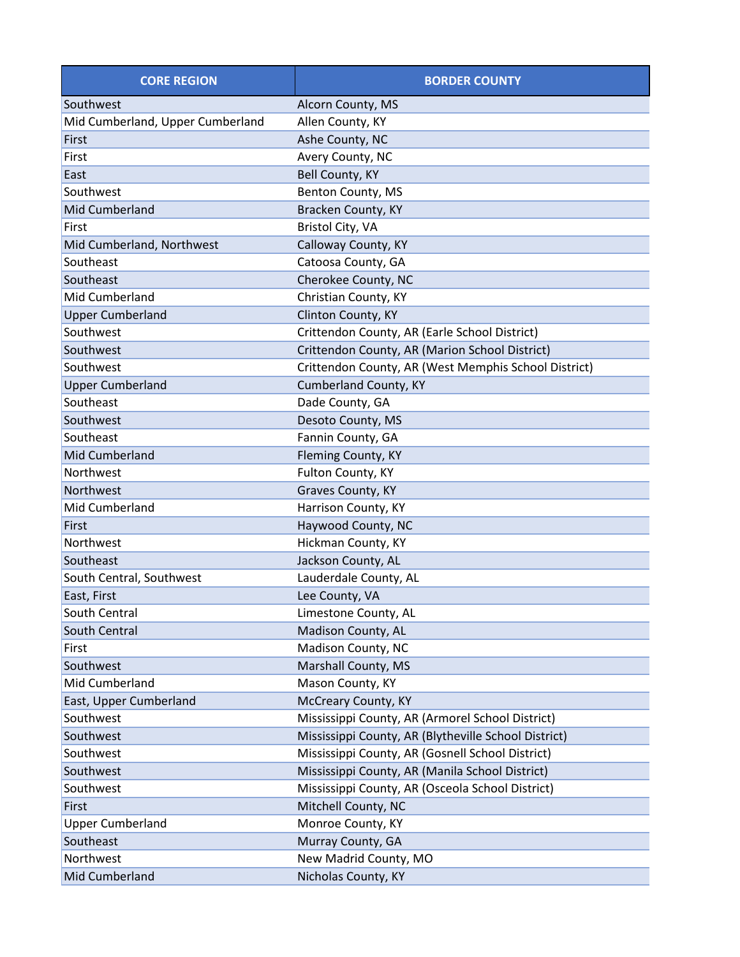| <b>CORE REGION</b>               | <b>BORDER COUNTY</b>                                 |  |
|----------------------------------|------------------------------------------------------|--|
| Southwest                        | Alcorn County, MS                                    |  |
| Mid Cumberland, Upper Cumberland | Allen County, KY                                     |  |
| First                            | Ashe County, NC                                      |  |
| First                            | Avery County, NC                                     |  |
| East                             | Bell County, KY                                      |  |
| Southwest                        | Benton County, MS                                    |  |
| Mid Cumberland                   | Bracken County, KY                                   |  |
| First                            | Bristol City, VA                                     |  |
| Mid Cumberland, Northwest        | Calloway County, KY                                  |  |
| Southeast                        | Catoosa County, GA                                   |  |
| Southeast                        | Cherokee County, NC                                  |  |
| Mid Cumberland                   | Christian County, KY                                 |  |
| <b>Upper Cumberland</b>          | Clinton County, KY                                   |  |
| Southwest                        | Crittendon County, AR (Earle School District)        |  |
| Southwest                        | Crittendon County, AR (Marion School District)       |  |
| Southwest                        | Crittendon County, AR (West Memphis School District) |  |
| <b>Upper Cumberland</b>          | Cumberland County, KY                                |  |
| Southeast                        | Dade County, GA                                      |  |
| Southwest                        | Desoto County, MS                                    |  |
| Southeast                        | Fannin County, GA                                    |  |
| Mid Cumberland                   | Fleming County, KY                                   |  |
| Northwest                        | Fulton County, KY                                    |  |
| Northwest                        | Graves County, KY                                    |  |
| Mid Cumberland                   | Harrison County, KY                                  |  |
| <b>First</b>                     | Haywood County, NC                                   |  |
| Northwest                        | Hickman County, KY                                   |  |
| Southeast                        | Jackson County, AL                                   |  |
| South Central, Southwest         | Lauderdale County, AL                                |  |
| East, First                      | Lee County, VA                                       |  |
| South Central                    | Limestone County, AL                                 |  |
| South Central                    | Madison County, AL                                   |  |
| First                            | Madison County, NC                                   |  |
| Southwest                        | Marshall County, MS                                  |  |
| Mid Cumberland                   | Mason County, KY                                     |  |
| East, Upper Cumberland           | McCreary County, KY                                  |  |
| Southwest                        | Mississippi County, AR (Armorel School District)     |  |
| Southwest                        | Mississippi County, AR (Blytheville School District) |  |
| Southwest                        | Mississippi County, AR (Gosnell School District)     |  |
| Southwest                        | Mississippi County, AR (Manila School District)      |  |
| Southwest                        | Mississippi County, AR (Osceola School District)     |  |
| First                            | Mitchell County, NC                                  |  |
| <b>Upper Cumberland</b>          | Monroe County, KY                                    |  |
| Southeast                        | Murray County, GA                                    |  |
| Northwest                        | New Madrid County, MO                                |  |
| Mid Cumberland                   | Nicholas County, KY                                  |  |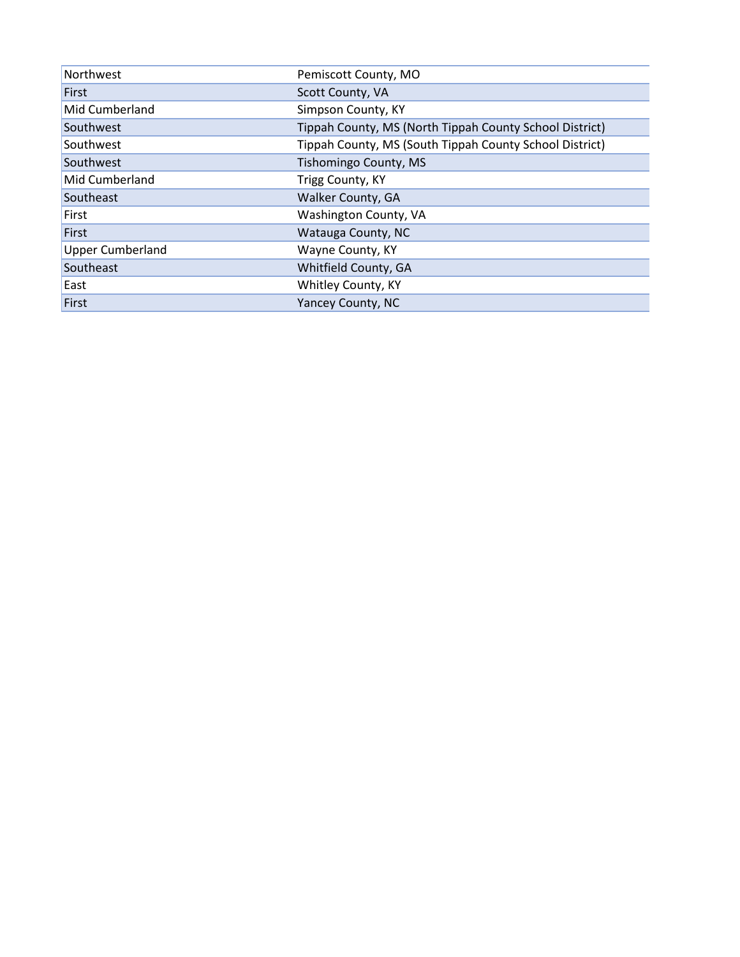| Northwest               | Pemiscott County, MO                                    |  |
|-------------------------|---------------------------------------------------------|--|
| <b>First</b>            | Scott County, VA                                        |  |
| Mid Cumberland          | Simpson County, KY                                      |  |
| Southwest               | Tippah County, MS (North Tippah County School District) |  |
| Southwest               | Tippah County, MS (South Tippah County School District) |  |
| Southwest               | Tishomingo County, MS                                   |  |
| Mid Cumberland          | Trigg County, KY                                        |  |
| Southeast               | <b>Walker County, GA</b>                                |  |
| First                   | Washington County, VA                                   |  |
| First                   | Watauga County, NC                                      |  |
| <b>Upper Cumberland</b> | Wayne County, KY                                        |  |
| Southeast               | Whitfield County, GA                                    |  |
| East                    | Whitley County, KY                                      |  |
| First                   | Yancey County, NC                                       |  |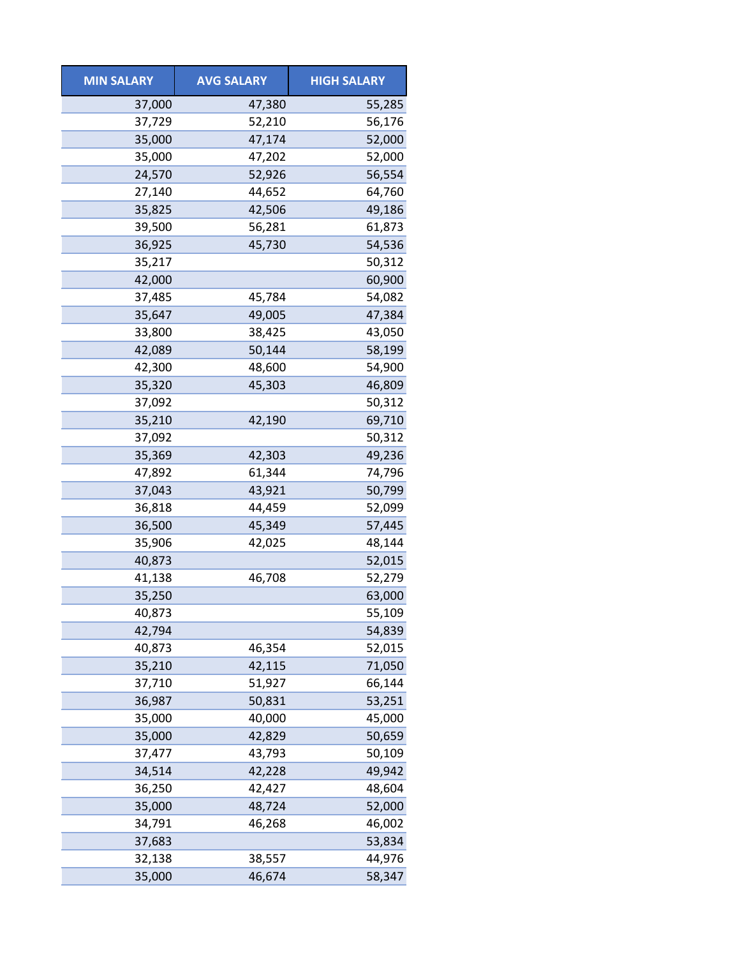| <b>MIN SALARY</b> | <b>AVG SALARY</b> | <b>HIGH SALARY</b> |
|-------------------|-------------------|--------------------|
| 37,000            | 47,380            | 55,285             |
| 37,729            | 52,210            | 56,176             |
| 35,000            | 47,174            | 52,000             |
| 35,000            | 47,202            | 52,000             |
| 24,570            | 52,926            | 56,554             |
| 27,140            | 44,652            | 64,760             |
| 35,825            | 42,506            | 49,186             |
| 39,500            | 56,281            | 61,873             |
| 36,925            | 45,730            | 54,536             |
| 35,217            |                   | 50,312             |
| 42,000            |                   | 60,900             |
| 37,485            | 45,784            | 54,082             |
| 35,647            | 49,005            | 47,384             |
| 33,800            | 38,425            | 43,050             |
| 42,089            | 50,144            | 58,199             |
| 42,300            | 48,600            | 54,900             |
| 35,320            | 45,303            | 46,809             |
| 37,092            |                   | 50,312             |
| 35,210            | 42,190            | 69,710             |
| 37,092            |                   | 50,312             |
| 35,369            | 42,303            | 49,236             |
| 47,892            | 61,344            | 74,796             |
| 37,043            | 43,921            | 50,799             |
| 36,818            | 44,459            | 52,099             |
| 36,500            | 45,349            | 57,445             |
| 35,906            | 42,025            | 48,144             |
| 40,873            |                   | 52,015             |
| 41,138            | 46,708            | 52,279             |
| 35,250            |                   | 63,000             |
| 40,873            |                   | 55,109             |
| 42,794            |                   | 54,839             |
| 40,873            | 46,354            | 52,015             |
| 35,210            | 42,115            | 71,050             |
| 37,710            | 51,927            | 66,144             |
| 36,987            | 50,831            | 53,251             |
| 35,000            | 40,000            | 45,000             |
| 35,000            | 42,829            | 50,659             |
| 37,477            | 43,793            | 50,109             |
| 34,514            | 42,228            | 49,942             |
| 36,250            | 42,427            | 48,604             |
| 35,000            | 48,724            | 52,000             |
| 34,791            | 46,268            | 46,002             |
| 37,683            |                   | 53,834             |
| 32,138            | 38,557            | 44,976             |
| 35,000            | 46,674            | 58,347             |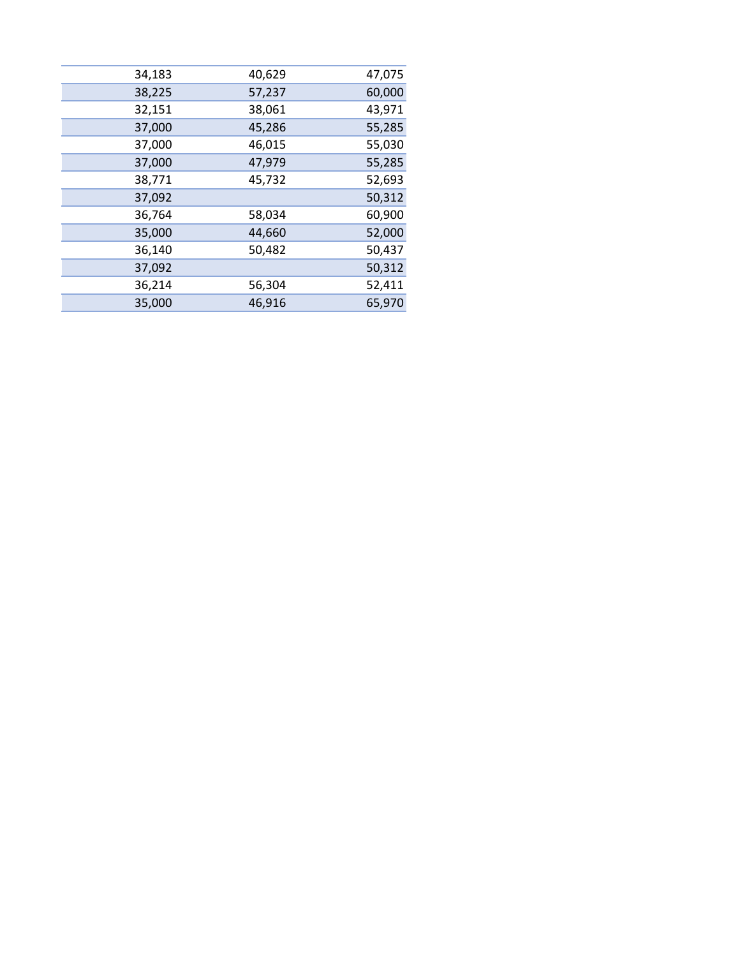| 34,183 | 40,629 | 47,075 |
|--------|--------|--------|
| 38,225 | 57,237 | 60,000 |
| 32,151 | 38,061 | 43,971 |
| 37,000 | 45,286 | 55,285 |
| 37,000 | 46,015 | 55,030 |
| 37,000 | 47,979 | 55,285 |
| 38,771 | 45,732 | 52,693 |
| 37,092 |        | 50,312 |
| 36,764 | 58,034 | 60,900 |
| 35,000 | 44,660 | 52,000 |
| 36,140 | 50,482 | 50,437 |
| 37,092 |        | 50,312 |
| 36,214 | 56,304 | 52,411 |
| 35,000 | 46,916 | 65,970 |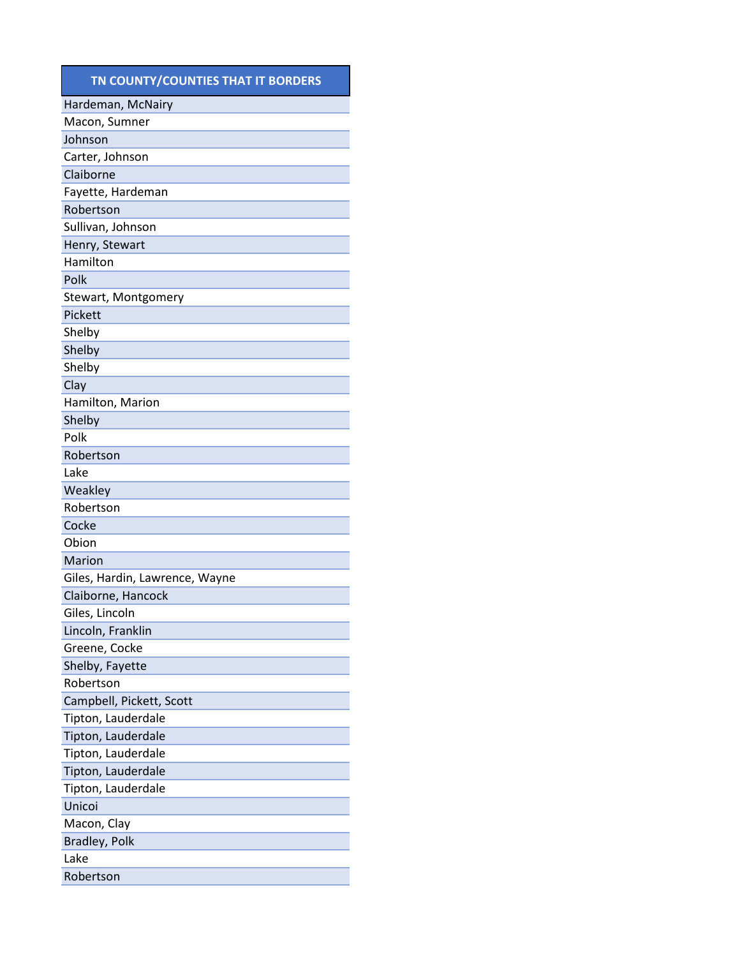#### **TN COUNTY/COUNTIES THAT IT BORDERS**

| Hardeman, McNairy              |
|--------------------------------|
| Macon, Sumner                  |
| Johnson                        |
| Carter, Johnson                |
| Claiborne                      |
| Fayette, Hardeman              |
| Robertson                      |
| Sullivan, Johnson              |
| Henry, Stewart                 |
| Hamilton                       |
| Polk                           |
| Stewart, Montgomery            |
| Pickett                        |
| Shelby                         |
| Shelby                         |
| Shelby                         |
| Clay                           |
| Hamilton, Marion               |
| Shelby                         |
| Polk                           |
| Robertson                      |
| Lake                           |
| Weakley                        |
| Robertson                      |
| Cocke                          |
| Obion                          |
| Marion                         |
| Giles, Hardin, Lawrence, Wayne |
| Claiborne, Hancock             |
| Giles, Lincoln                 |
| Lincoln, Franklin              |
| Greene, Cocke                  |
| Shelby, Fayette                |
| Robertson                      |
| Campbell, Pickett, Scott       |
| Tipton, Lauderdale             |
| Tipton, Lauderdale             |
| Tipton, Lauderdale             |
| Tipton, Lauderdale             |
| Tipton, Lauderdale             |
| Unicoi                         |
| Macon, Clay                    |
| Bradley, Polk                  |
| Lake                           |
| Robertson                      |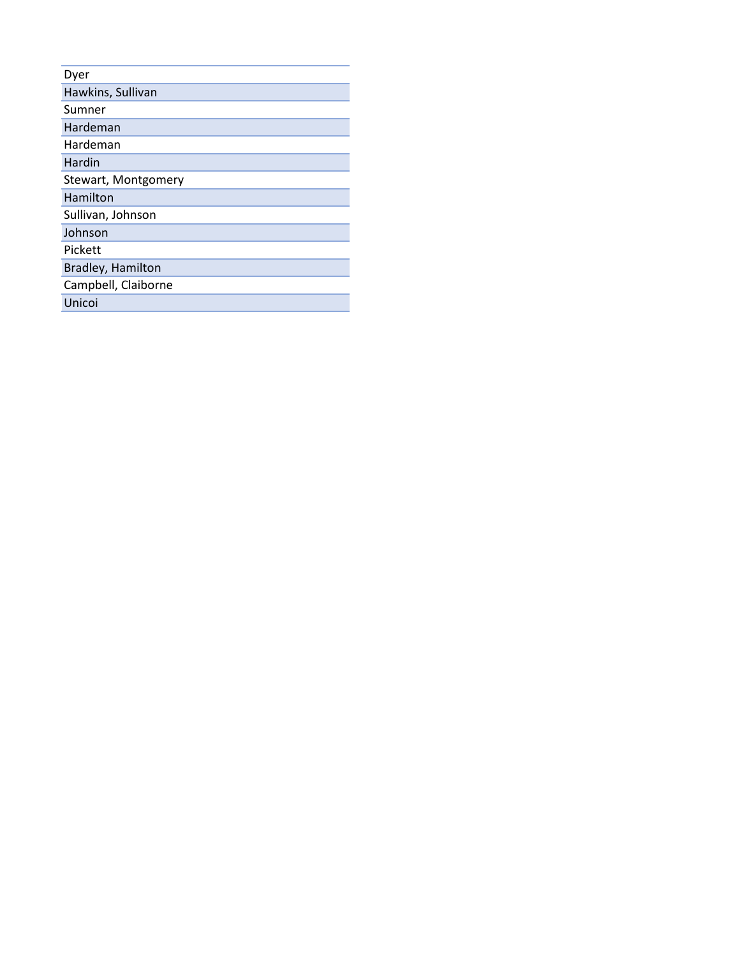| Dyer                |
|---------------------|
| Hawkins, Sullivan   |
| Sumner              |
| Hardeman            |
| Hardeman            |
| Hardin              |
| Stewart, Montgomery |
| Hamilton            |
| Sullivan, Johnson   |
| Johnson             |
| Pickett             |
| Bradley, Hamilton   |
| Campbell, Claiborne |
| Unicoi              |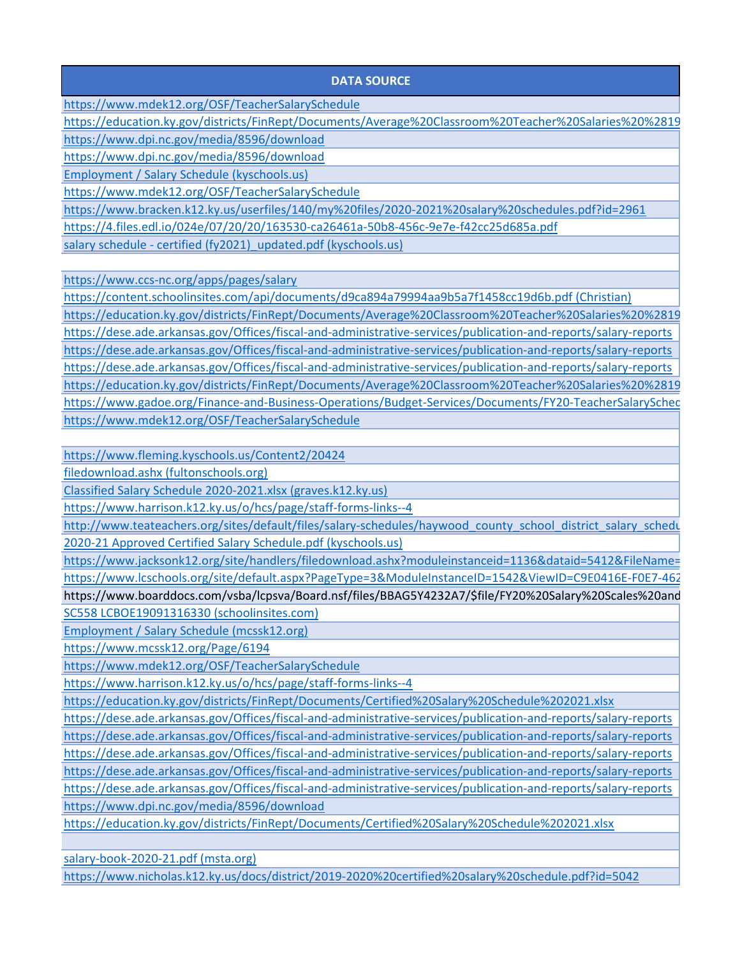#### **DATA SOURCE**

https://www.mdek12.org/OSF/TeacherSalarySchedule

[https://education.ky.gov/districts/FinRept/Documents/Average%20Classroom%20Teacher%20Salaries%20%2819](https://education.ky.gov/districts/FinRept/Documents/Average%20Classroom%20Teacher%20Salaries%20%281989-2021%29%20ADA.xlsx)

<https://www.dpi.nc.gov/media/8596/download>

<https://www.dpi.nc.gov/media/8596/download>

[Employment / Salary Schedule \(kyschools.us\)](https://www.bell.kyschools.us/Page/136)

https://www.mdek12.org/OSF/TeacherSalarySchedule

<https://www.bracken.k12.ky.us/userfiles/140/my%20files/2020-2021%20salary%20schedules.pdf?id=2961>

<https://4.files.edl.io/024e/07/20/20/163530-ca26461a-50b8-456c-9e7e-f42cc25d685a.pdf>

salary schedule - certified (fy2021) updated.pdf (kyschools.us)

<https://www.ccs-nc.org/apps/pages/salary>

[https://content.schoolinsites.com/api/documents/d9ca894a79994aa9b5a7f1458cc19d6b.pdf \(Christian\)](https://content.schoolinsites.com/api/documents/d9ca894a79994aa9b5a7f1458cc19d6b.pdf) [https://education.ky.gov/districts/FinRept/Documents/Average%20Classroom%20Teacher%20Salaries%20%2819](https://education.ky.gov/districts/FinRept/Documents/Average%20Classroom%20Teacher%20Salaries%20%281989-2021%29%20ADA.xlsx) <https://dese.ade.arkansas.gov/Offices/fiscal-and-administrative-services/publication-and-reports/salary-reports> https://dese.ade.arkansas.gov/Offices/fiscal-and-administrative-services/publication-and-reports/salary-reports https://dese.ade.arkansas.gov/Offices/fiscal-and-administrative-services/publication-and-reports/salary-reports [https://education.ky.gov/districts/FinRept/Documents/Average%20Classroom%20Teacher%20Salaries%20%2819](https://education.ky.gov/districts/FinRept/Documents/Average%20Classroom%20Teacher%20Salaries%20%281989-2021%29%20ADA.xlsx) [https://www.gadoe.org/Finance-and-Business-Operations/Budget-Services/Documents/FY20-TeacherSalarySched](https://www.gadoe.org/Finance-and-Business-Operations/Budget-Services/Documents/FY20-TeacherSalaryScheduleReport.pdf) <https://www.mdek12.org/OSF/TeacherSalarySchedule>

<https://www.fleming.kyschools.us/Content2/20424>

[filedownload.ashx \(fultonschools.org\)](https://www.fultonschools.org/site/handlers/filedownload.ashx?moduleinstanceid=44740&dataid=66604&FileName=FY21%20Salary-Teacher.pdf)

[Classified Salary Schedule 2020-2021.xlsx \(graves.k12.ky.us\)](https://www.graves.k12.ky.us/docs/district/finance/20-21%20salaray%20schedule.pdf?id=316)

<https://www.harrison.k12.ky.us/o/hcs/page/staff-forms-links--4>

[http://www.teateachers.org/sites/default/files/salary-schedules/haywood\\_county\\_school\\_district\\_salary\\_schedu](http://www.teateachers.org/sites/default/files/salary-schedules/haywood_county_school_district_salary_schedule_report.pdf) [2020-21 Approved Certified Salary Schedule.pdf \(kyschools.us\)](https://www.hickman.kyschools.us/Downloads/2020-21%20Approved%20Certified%20Salary%20Schedule.pdf)

[https://www.jacksonk12.org/site/handlers/filedownload.ashx?moduleinstanceid=1136&dataid=5412&FileName=](https://www.jacksonk12.org/site/handlers/filedownload.ashx?moduleinstanceid=1136&dataid=5412&FileName=2020-2021_JCS_Salary_Schedule.pdf) [https://www.lcschools.org/site/default.aspx?PageType=3&ModuleInstanceID=1542&ViewID=C9E0416E-F0E7-462](https://dese.ade.arkansas.gov/Offices/fiscal-and-administrative-services/publication-and-reports/salary-reports)

https://www.boarddocs.com/vsba/lcpsva/Board.nsf/files/BBAG5Y4232A7/\$file/FY20%20Salary%20Scales%20and [SC558 LCBOE19091316330 \(schoolinsites.com\)](https://content.schoolinsites.com/api/documents/bbb1cb04a0314100a13bd07988b2c2eb.pdf)

[Employment / Salary Schedule \(mcssk12.org\)](https://www.mcssk12.org/Page/6194)

<https://www.mcssk12.org/Page/6194>

https://www.mdek12.org/OSF/TeacherSalarySchedule

<https://www.harrison.k12.ky.us/o/hcs/page/staff-forms-links--4>

<https://education.ky.gov/districts/FinRept/Documents/Certified%20Salary%20Schedule%202021.xlsx>

[https://dese.ade.arkansas.gov/Offices/fiscal-and-administrative-services/publication-and-reports/salary-reports](https://www.mdek12.org/OSF/TeacherSalarySchedule) [https://dese.ade.arkansas.gov/Offices/fiscal-and-administrative-services/publication-and-reports/salary-reports](https://www.mdek12.org/OSF/TeacherSalarySchedule) https://dese.ade.arkansas.gov/Offices/fiscal-and-administrative-services/publication-and-reports/salary-reports https://dese.ade.arkansas.gov/Offices/fiscal-and-administrative-services/publication-and-reports/salary-reports https://dese.ade.arkansas.gov/Offices/fiscal-and-administrative-services/publication-and-reports/salary-reports <https://www.dpi.nc.gov/media/8596/download>

<https://education.ky.gov/districts/FinRept/Documents/Certified%20Salary%20Schedule%202021.xlsx>

[salary-book-2020-21.pdf \(msta.org\)](https://msta.org/MSTA/media/MSTAMedia/Publications/salary-book-2020-21.pdf)

<https://www.nicholas.k12.ky.us/docs/district/2019-2020%20certified%20salary%20schedule.pdf?id=5042>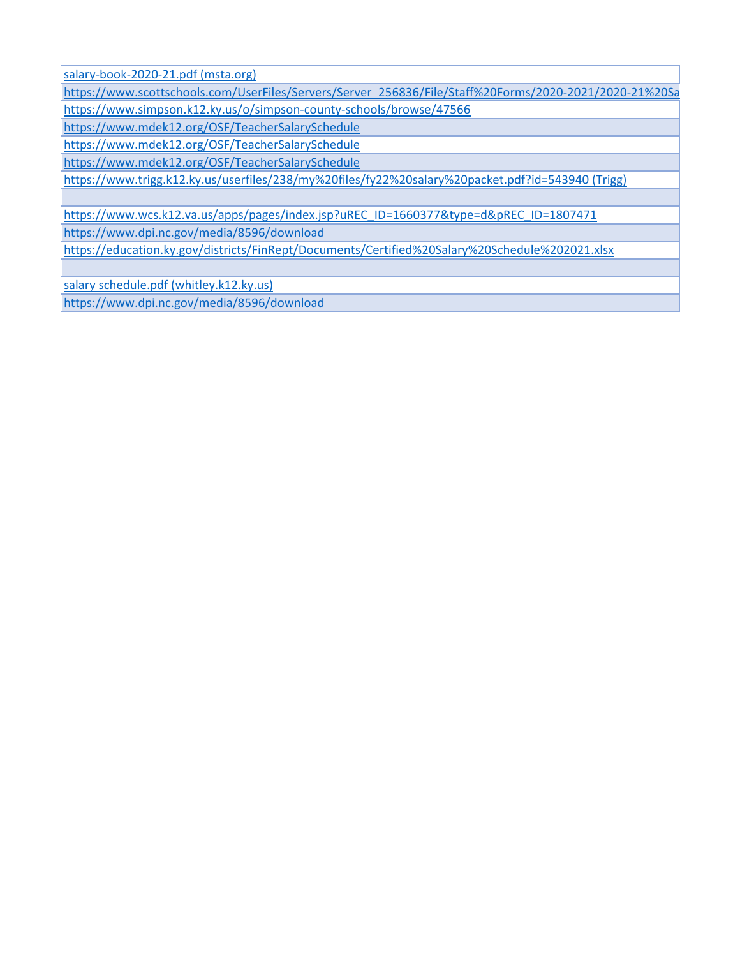[salary-book-2020-21.pdf \(msta.org\)](https://msta.org/MSTA/media/MSTAMedia/Publications/salary-book-2020-21.pdf)

[https://www.scottschools.com/UserFiles/Servers/Server\\_256836/File/Staff%20Forms/2020-2021/2020-21%20Sa](https://www.scottschools.com/UserFiles/Servers/Server_256836/File/Staff%20Forms/2020-2021/2020-21%20Salary%20Scales.pdf) <https://www.simpson.k12.ky.us/o/simpson-county-schools/browse/47566>

<https://www.mdek12.org/OSF/TeacherSalarySchedule>

https://www.mdek12.org/OSF/TeacherSalarySchedule

https://www.mdek12.org/OSF/TeacherSalarySchedule

[https://www.trigg.k12.ky.us/userfiles/238/my%20files/fy22%20salary%20packet.pdf?id=543940 \(Trigg\)](https://www.trigg.k12.ky.us/userfiles/238/my%20files/fy22%20salary%20packet.pdf?id=543940)

[https://www.wcs.k12.va.us/apps/pages/index.jsp?uREC\\_ID=1660377&type=d&pREC\\_ID=1807471](https://www.wcs.k12.va.us/apps/pages/index.jsp?uREC_ID=1660377&type=d&pREC_ID=1807471) <https://www.dpi.nc.gov/media/8596/download>

<https://education.ky.gov/districts/FinRept/Documents/Certified%20Salary%20Schedule%202021.xlsx>

[salary schedule.pdf \(whitley.k12.ky.us\)](https://www.whitley.k12.ky.us/userfiles/2/my%20files/salary%20schedule.pdf?id=1370) <https://www.dpi.nc.gov/media/8596/download>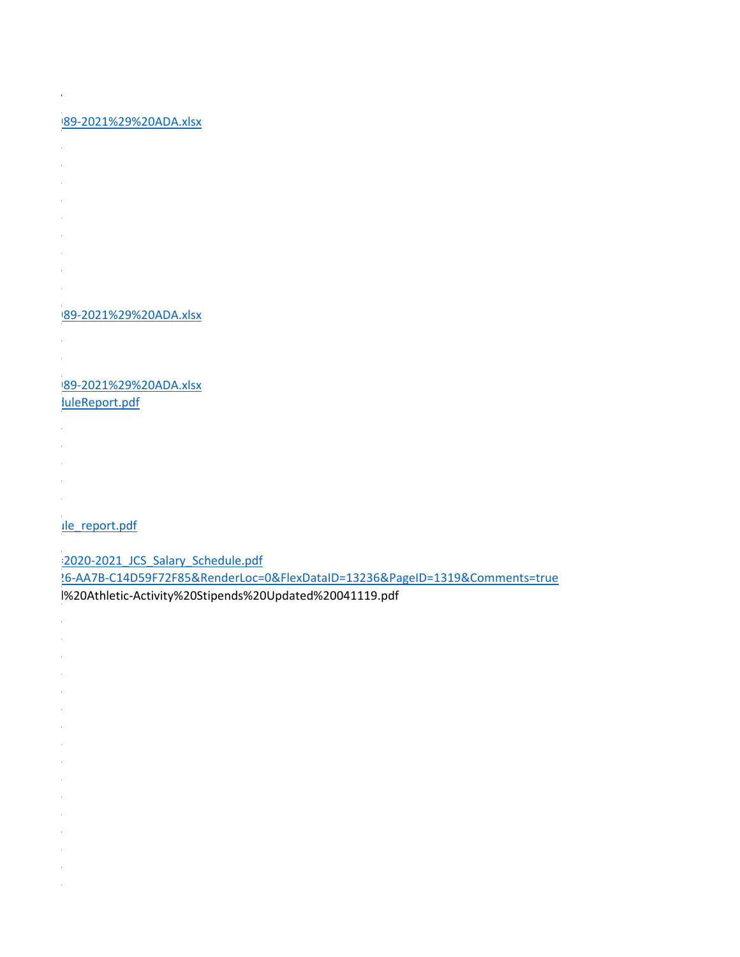# 989-2021%29%20ADA.xlsx

- 
- 
- 
- 
- 
- 
- 
- 
- 
- 

## 989-2021%29%20ADA.xlsx

- 
- 

#### 989-2021%29%20ADA.xlsx luleReport.pdf

- 
- 
- 
- 
- 

## ule\_report.pdf

=2020-2021\_JCS\_Salary\_Schedule.pdf

26-AA7B-C14D59F72F85&RenderLoc=0&FlexDataID=13236&PageID=1319&Comments=true d%20Athletic-Activity%20Stipends%20Updated%20041119.pdf